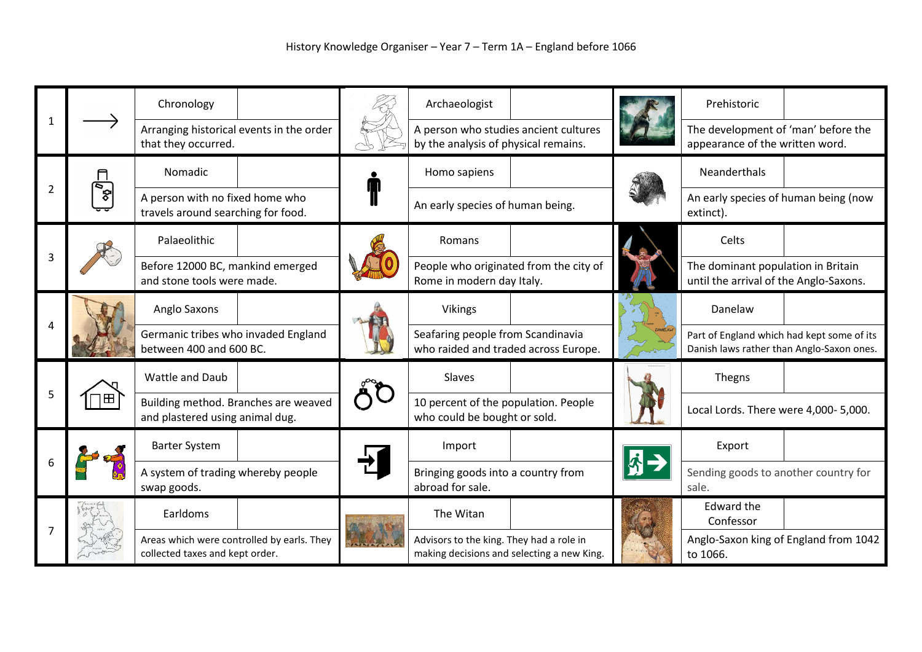|   |                      | Chronology                                                                    |                                  |  | Archaeologist                                                                          |  | Prehistoric                                                                             |  |
|---|----------------------|-------------------------------------------------------------------------------|----------------------------------|--|----------------------------------------------------------------------------------------|--|-----------------------------------------------------------------------------------------|--|
|   |                      | Arranging historical events in the order<br>that they occurred.               |                                  |  | A person who studies ancient cultures<br>by the analysis of physical remains.          |  | The development of 'man' before the<br>appearance of the written word.                  |  |
| 2 | $\frac{1}{\sqrt{2}}$ | Nomadic                                                                       |                                  |  | Homo sapiens                                                                           |  | <b>Neanderthals</b>                                                                     |  |
|   |                      | A person with no fixed home who<br>travels around searching for food.         |                                  |  | An early species of human being.                                                       |  | An early species of human being (now<br>extinct).                                       |  |
|   |                      | Palaeolithic                                                                  |                                  |  | Romans                                                                                 |  | Celts                                                                                   |  |
|   |                      | and stone tools were made.                                                    | Before 12000 BC, mankind emerged |  | People who originated from the city of<br>Rome in modern day Italy.                    |  | The dominant population in Britain<br>until the arrival of the Anglo-Saxons.            |  |
|   |                      | Anglo Saxons                                                                  |                                  |  | <b>Vikings</b>                                                                         |  | Danelaw                                                                                 |  |
|   |                      | Germanic tribes who invaded England<br>between 400 and 600 BC.                |                                  |  | Seafaring people from Scandinavia<br>who raided and traded across Europe.              |  | Part of England which had kept some of its<br>Danish laws rather than Anglo-Saxon ones. |  |
| 5 | ▬                    | Wattle and Daub                                                               |                                  |  | Slaves                                                                                 |  | Thegns                                                                                  |  |
|   |                      | Building method. Branches are weaved<br>and plastered using animal dug.       |                                  |  | 10 percent of the population. People<br>who could be bought or sold.                   |  | Local Lords. There were 4,000-5,000.                                                    |  |
|   |                      | <b>Barter System</b>                                                          |                                  |  | Import                                                                                 |  | Export                                                                                  |  |
|   |                      | A system of trading whereby people<br>swap goods.                             |                                  |  | Bringing goods into a country from<br>abroad for sale.                                 |  | Sending goods to another country for<br>sale.                                           |  |
|   |                      | Earldoms                                                                      |                                  |  | The Witan                                                                              |  | <b>Edward the</b><br>Confessor                                                          |  |
|   |                      | Areas which were controlled by earls. They<br>collected taxes and kept order. |                                  |  | Advisors to the king. They had a role in<br>making decisions and selecting a new King. |  | Anglo-Saxon king of England from 1042<br>to 1066.                                       |  |